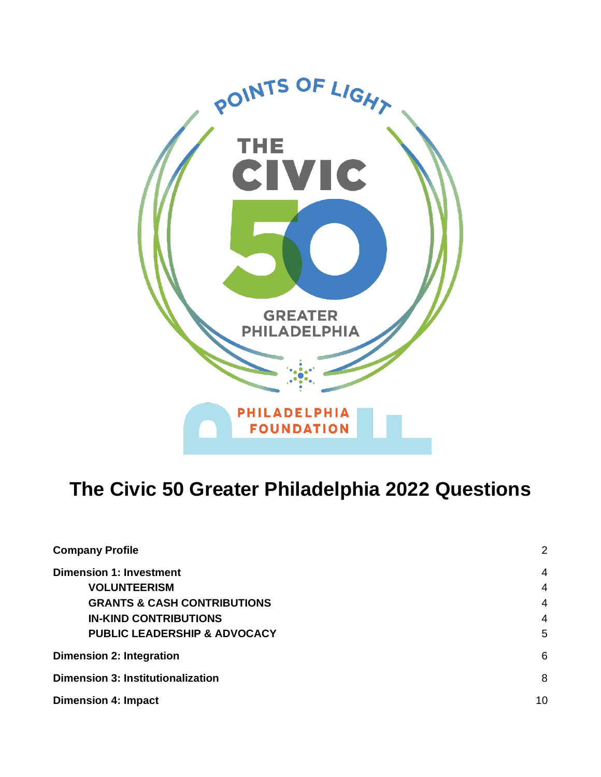

## **The Civic 50 Greater Philadelphia 2022 Questions**

| <b>Company Profile</b>                   | 2              |
|------------------------------------------|----------------|
| <b>Dimension 1: Investment</b>           | $\overline{4}$ |
| <b>VOLUNTEERISM</b>                      | 4              |
| <b>GRANTS &amp; CASH CONTRIBUTIONS</b>   | $\overline{4}$ |
| <b>IN-KIND CONTRIBUTIONS</b>             | $\overline{4}$ |
| <b>PUBLIC LEADERSHIP &amp; ADVOCACY</b>  | 5              |
| <b>Dimension 2: Integration</b>          | 6              |
| <b>Dimension 3: Institutionalization</b> |                |
| <b>Dimension 4: Impact</b>               | 10             |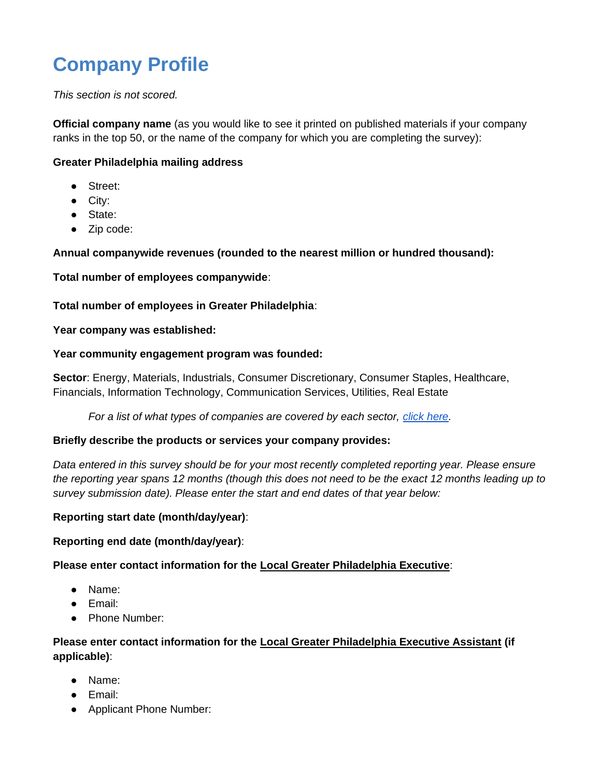# <span id="page-1-0"></span>**Company Profile**

*This section is not scored.*

**Official company name** (as you would like to see it printed on published materials if your company ranks in the top 50, or the name of the company for which you are completing the survey):

## **Greater Philadelphia mailing address**

- Street:
- City:
- State:
- Zip code:

## **Annual companywide revenues (rounded to the nearest million or hundred thousand):**

**Total number of employees companywide**:

## **Total number of employees in Greater Philadelphia**:

## **Year company was established:**

## **Year community engagement program was founded:**

**Sector**: Energy, Materials, Industrials, Consumer Discretionary, Consumer Staples, Healthcare, Financials, Information Technology, Communication Services, Utilities, Real Estate

*For a list of what types of companies are covered by each sector, [click here.](https://www.trueimpact.com/hubfs/Clients/Civic%2050/2020%20Sector%20and%20Industry%20List.pdf)*

## **Briefly describe the products or services your company provides:**

*Data entered in this survey should be for your most recently completed reporting year. Please ensure the reporting year spans 12 months (though this does not need to be the exact 12 months leading up to survey submission date). Please enter the start and end dates of that year below:*

## **Reporting start date (month/day/year)**:

## **Reporting end date (month/day/year)**:

## **Please enter contact information for the Local Greater Philadelphia Executive**:

- Name:
- Email:
- Phone Number:

## **Please enter contact information for the Local Greater Philadelphia Executive Assistant (if applicable)**:

- Name:
- Email:
- Applicant Phone Number: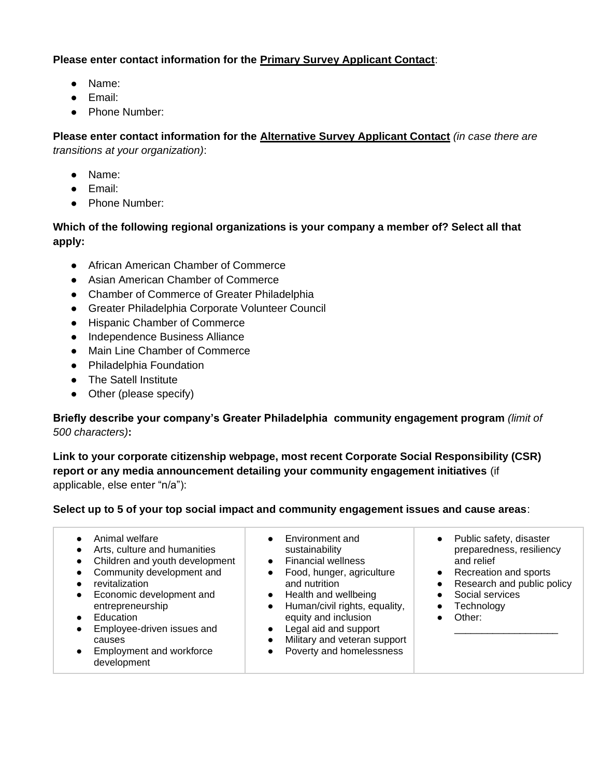## **Please enter contact information for the Primary Survey Applicant Contact**:

- Name:
- Email:
- Phone Number:

**Please enter contact information for the Alternative Survey Applicant Contact** *(in case there are transitions at your organization)*:

- Name:
- Email:
- Phone Number:

## **Which of the following regional organizations is your company a member of? Select all that apply:**

- African American Chamber of Commerce
- Asian American Chamber of Commerce
- Chamber of Commerce of Greater Philadelphia
- Greater Philadelphia Corporate Volunteer Council
- Hispanic Chamber of Commerce
- Independence Business Alliance
- Main Line Chamber of Commerce
- Philadelphia Foundation
- The Satell Institute
- Other (please specify)

**Briefly describe your company's Greater Philadelphia community engagement program** *(limit of 500 characters)***:**

**Link to your corporate citizenship webpage, most recent Corporate Social Responsibility (CSR) report or any media announcement detailing your community engagement initiatives** (if applicable, else enter "n/a"):

## **Select up to 5 of your top social impact and community engagement issues and cause areas**:

| Animal welfare<br>Arts, culture and humanities<br>Children and youth development<br>Community development and<br>revitalization<br>Economic development and<br>entrepreneurship<br>Education<br>Employee-driven issues and<br>causes<br>Employment and workforce<br>development | Environment and<br>sustainability<br><b>Financial wellness</b><br>Food, hunger, agriculture<br>and nutrition<br>Health and wellbeing<br>$\bullet$<br>Human/civil rights, equality,<br>equity and inclusion<br>Legal aid and support<br>Military and veteran support<br>Poverty and homelessness | Public safety, disaster<br>$\bullet$<br>preparedness, resiliency<br>and relief<br>Recreation and sports<br>$\bullet$<br>Research and public policy<br>Social services<br>Technology<br>Other: |
|---------------------------------------------------------------------------------------------------------------------------------------------------------------------------------------------------------------------------------------------------------------------------------|-------------------------------------------------------------------------------------------------------------------------------------------------------------------------------------------------------------------------------------------------------------------------------------------------|-----------------------------------------------------------------------------------------------------------------------------------------------------------------------------------------------|
|---------------------------------------------------------------------------------------------------------------------------------------------------------------------------------------------------------------------------------------------------------------------------------|-------------------------------------------------------------------------------------------------------------------------------------------------------------------------------------------------------------------------------------------------------------------------------------------------|-----------------------------------------------------------------------------------------------------------------------------------------------------------------------------------------------|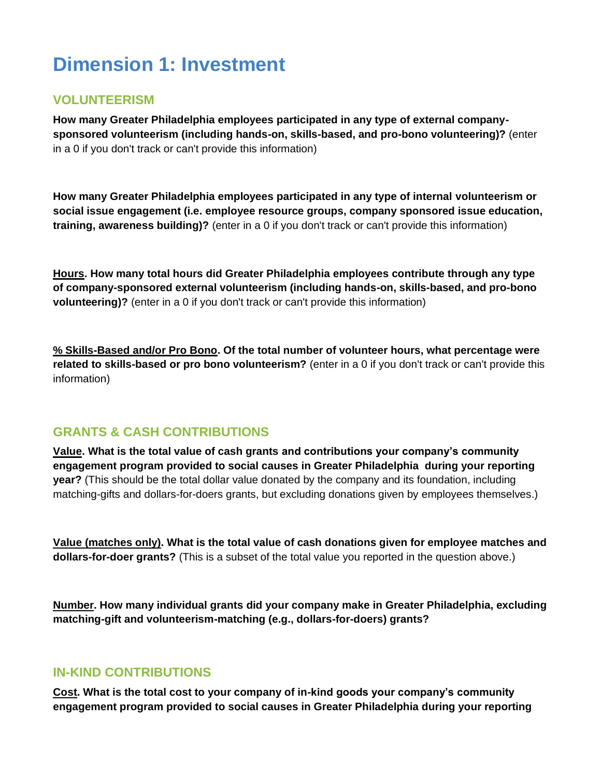## <span id="page-3-0"></span>**Dimension 1: Investment**

## <span id="page-3-1"></span>**VOLUNTEERISM**

**How many Greater Philadelphia employees participated in any type of external companysponsored volunteerism (including hands-on, skills-based, and pro-bono volunteering)?** (enter in a 0 if you don't track or can't provide this information)

**How many Greater Philadelphia employees participated in any type of internal volunteerism or social issue engagement (i.e. employee resource groups, company sponsored issue education, training, awareness building)?** (enter in a 0 if you don't track or can't provide this information)

**Hours. How many total hours did Greater Philadelphia employees contribute through any type of company-sponsored external volunteerism (including hands-on, skills-based, and pro-bono volunteering)?** (enter in a 0 if you don't track or can't provide this information)

**% Skills-Based and/or Pro Bono. Of the total number of volunteer hours, what percentage were related to skills-based or pro bono volunteerism?** (enter in a 0 if you don't track or can't provide this information)

## <span id="page-3-2"></span>**GRANTS & CASH CONTRIBUTIONS**

**Value. What is the total value of cash grants and contributions your company's community engagement program provided to social causes in Greater Philadelphia during your reporting year?** (This should be the total dollar value donated by the company and its foundation, including matching-gifts and dollars-for-doers grants, but excluding donations given by employees themselves.)

**Value (matches only). What is the total value of cash donations given for employee matches and dollars-for-doer grants?** (This is a subset of the total value you reported in the question above.)

**Number. How many individual grants did your company make in Greater Philadelphia, excluding matching-gift and volunteerism-matching (e.g., dollars-for-doers) grants?** 

## <span id="page-3-3"></span>**IN-KIND CONTRIBUTIONS**

**Cost. What is the total cost to your company of in-kind goods your company's community engagement program provided to social causes in Greater Philadelphia during your reporting**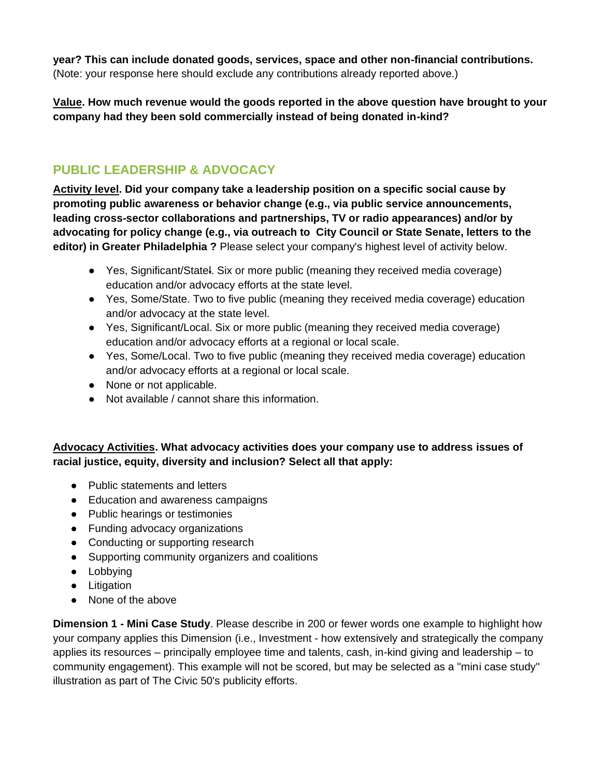**year? This can include donated goods, services, space and other non-financial contributions.**  (Note: your response here should exclude any contributions already reported above.)

**Value. How much revenue would the goods reported in the above question have brought to your company had they been sold commercially instead of being donated in-kind?**

## <span id="page-4-0"></span>**PUBLIC LEADERSHIP & ADVOCACY**

**Activity level. Did your company take a leadership position on a specific social cause by promoting public awareness or behavior change (e.g., via public service announcements, leading cross-sector collaborations and partnerships, TV or radio appearances) and/or by advocating for policy change (e.g., via outreach to City Council or State Senate, letters to the editor) in Greater Philadelphia ?** Please select your company's highest level of activity below.

- Yes, Significant/Statel. Six or more public (meaning they received media coverage) education and/or advocacy efforts at the state level.
- Yes, Some/State. Two to five public (meaning they received media coverage) education and/or advocacy at the state level.
- Yes, Significant/Local. Six or more public (meaning they received media coverage) education and/or advocacy efforts at a regional or local scale.
- Yes, Some/Local. Two to five public (meaning they received media coverage) education and/or advocacy efforts at a regional or local scale.
- None or not applicable.
- Not available / cannot share this information.

## **Advocacy Activities. What advocacy activities does your company use to address issues of racial justice, equity, diversity and inclusion? Select all that apply:**

- Public statements and letters
- Education and awareness campaigns
- Public hearings or testimonies
- Funding advocacy organizations
- Conducting or supporting research
- Supporting community organizers and coalitions
- Lobbying
- Litigation
- None of the above

**Dimension 1 - Mini Case Study**. Please describe in 200 or fewer words one example to highlight how your company applies this Dimension (i.e., Investment - how extensively and strategically the company applies its resources – principally employee time and talents, cash, in-kind giving and leadership – to community engagement). This example will not be scored, but may be selected as a "mini case study" illustration as part of The Civic 50's publicity efforts.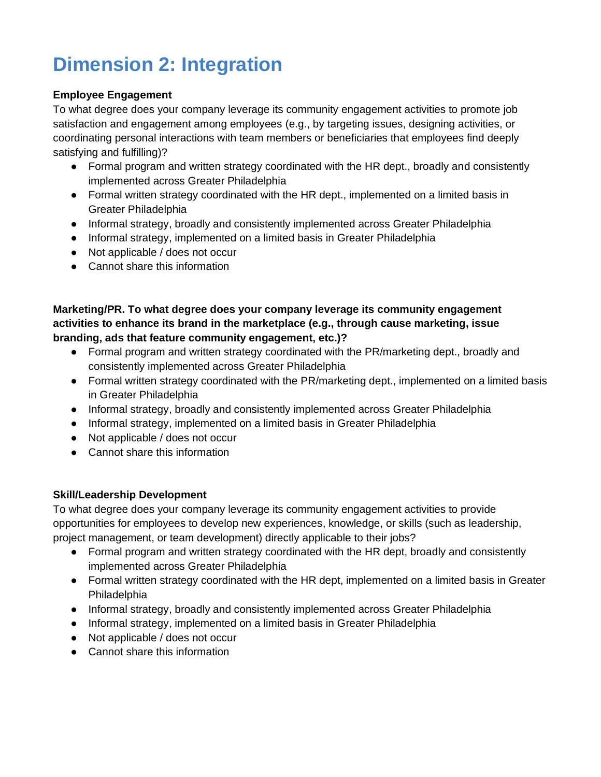## <span id="page-5-0"></span>**Dimension 2: Integration**

## **Employee Engagement**

To what degree does your company leverage its community engagement activities to promote job satisfaction and engagement among employees (e.g., by targeting issues, designing activities, or coordinating personal interactions with team members or beneficiaries that employees find deeply satisfying and fulfilling)?

- Formal program and written strategy coordinated with the HR dept., broadly and consistently implemented across Greater Philadelphia
- Formal written strategy coordinated with the HR dept., implemented on a limited basis in Greater Philadelphia
- Informal strategy, broadly and consistently implemented across Greater Philadelphia
- Informal strategy, implemented on a limited basis in Greater Philadelphia
- Not applicable / does not occur
- Cannot share this information

**Marketing/PR. To what degree does your company leverage its community engagement activities to enhance its brand in the marketplace (e.g., through cause marketing, issue branding, ads that feature community engagement, etc.)?**

- Formal program and written strategy coordinated with the PR/marketing dept., broadly and consistently implemented across Greater Philadelphia
- Formal written strategy coordinated with the PR/marketing dept., implemented on a limited basis in Greater Philadelphia
- Informal strategy, broadly and consistently implemented across Greater Philadelphia
- Informal strategy, implemented on a limited basis in Greater Philadelphia
- Not applicable / does not occur
- Cannot share this information

## **Skill/Leadership Development**

To what degree does your company leverage its community engagement activities to provide opportunities for employees to develop new experiences, knowledge, or skills (such as leadership, project management, or team development) directly applicable to their jobs?

- Formal program and written strategy coordinated with the HR dept, broadly and consistently implemented across Greater Philadelphia
- Formal written strategy coordinated with the HR dept, implemented on a limited basis in Greater Philadelphia
- Informal strategy, broadly and consistently implemented across Greater Philadelphia
- Informal strategy, implemented on a limited basis in Greater Philadelphia
- Not applicable / does not occur
- Cannot share this information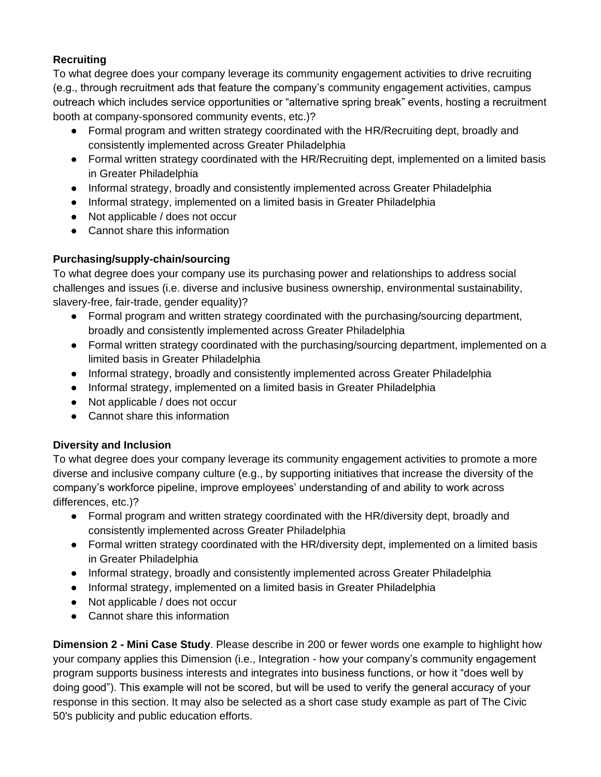## **Recruiting**

To what degree does your company leverage its community engagement activities to drive recruiting (e.g., through recruitment ads that feature the company's community engagement activities, campus outreach which includes service opportunities or "alternative spring break" events, hosting a recruitment booth at company-sponsored community events, etc.)?

- Formal program and written strategy coordinated with the HR/Recruiting dept, broadly and consistently implemented across Greater Philadelphia
- Formal written strategy coordinated with the HR/Recruiting dept, implemented on a limited basis in Greater Philadelphia
- Informal strategy, broadly and consistently implemented across Greater Philadelphia
- Informal strategy, implemented on a limited basis in Greater Philadelphia
- Not applicable / does not occur
- Cannot share this information

## **Purchasing/supply-chain/sourcing**

To what degree does your company use its purchasing power and relationships to address social challenges and issues (i.e. diverse and inclusive business ownership, environmental sustainability, slavery-free, fair-trade, gender equality)?

- Formal program and written strategy coordinated with the purchasing/sourcing department, broadly and consistently implemented across Greater Philadelphia
- Formal written strategy coordinated with the purchasing/sourcing department, implemented on a limited basis in Greater Philadelphia
- Informal strategy, broadly and consistently implemented across Greater Philadelphia
- Informal strategy, implemented on a limited basis in Greater Philadelphia
- Not applicable / does not occur
- Cannot share this information

## **Diversity and Inclusion**

To what degree does your company leverage its community engagement activities to promote a more diverse and inclusive company culture (e.g., by supporting initiatives that increase the diversity of the company's workforce pipeline, improve employees' understanding of and ability to work across differences, etc.)?

- Formal program and written strategy coordinated with the HR/diversity dept, broadly and consistently implemented across Greater Philadelphia
- Formal written strategy coordinated with the HR/diversity dept, implemented on a limited basis in Greater Philadelphia
- Informal strategy, broadly and consistently implemented across Greater Philadelphia
- Informal strategy, implemented on a limited basis in Greater Philadelphia
- Not applicable / does not occur
- Cannot share this information

**Dimension 2 - Mini Case Study**. Please describe in 200 or fewer words one example to highlight how your company applies this Dimension (i.e., Integration - how your company's community engagement program supports business interests and integrates into business functions, or how it "does well by doing good"). This example will not be scored, but will be used to verify the general accuracy of your response in this section. It may also be selected as a short case study example as part of The Civic 50's publicity and public education efforts.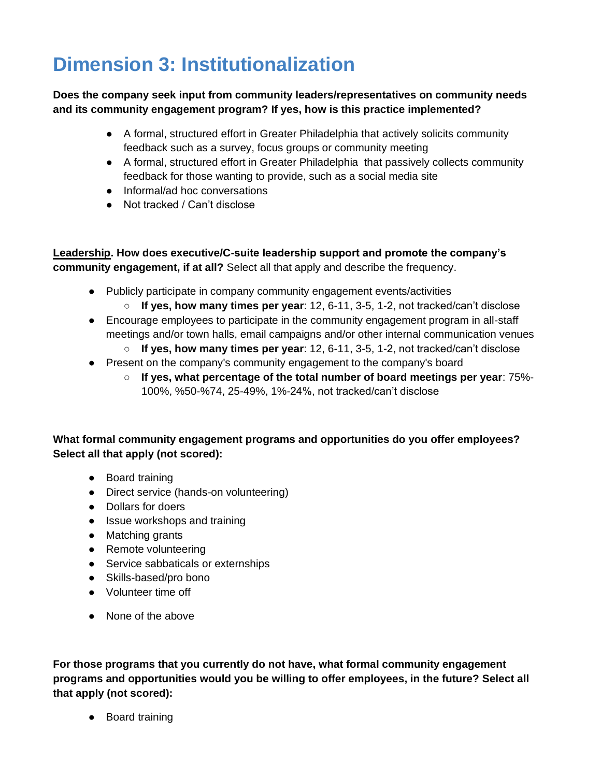## <span id="page-7-0"></span>**Dimension 3: Institutionalization**

## **Does the company seek input from community leaders/representatives on community needs and its community engagement program? If yes, how is this practice implemented?**

- A formal, structured effort in Greater Philadelphia that actively solicits community feedback such as a survey, focus groups or community meeting
- A formal, structured effort in Greater Philadelphia that passively collects community feedback for those wanting to provide, such as a social media site
- Informal/ad hoc conversations
- Not tracked / Can't disclose

**Leadership. How does executive/C-suite leadership support and promote the company's community engagement, if at all?** Select all that apply and describe the frequency.

- Publicly participate in company community engagement events/activities
	- **If yes, how many times per year**: 12, 6-11, 3-5, 1-2, not tracked/can't disclose
- Encourage employees to participate in the community engagement program in all-staff meetings and/or town halls, email campaigns and/or other internal communication venues
	- **If yes, how many times per year**: 12, 6-11, 3-5, 1-2, not tracked/can't disclose
- Present on the company's community engagement to the company's board
	- **If yes, what percentage of the total number of board meetings per year**: 75%- 100%, %50-%74, 25-49%, 1%-24%, not tracked/can't disclose

**What formal community engagement programs and opportunities do you offer employees? Select all that apply (not scored):** 

- Board training
- Direct service (hands-on volunteering)
- Dollars for doers
- Issue workshops and training
- Matching grants
- Remote volunteering
- Service sabbaticals or externships
- Skills-based/pro bono
- Volunteer time off
- None of the above

**For those programs that you currently do not have, what formal community engagement programs and opportunities would you be willing to offer employees, in the future? Select all that apply (not scored):** 

● Board training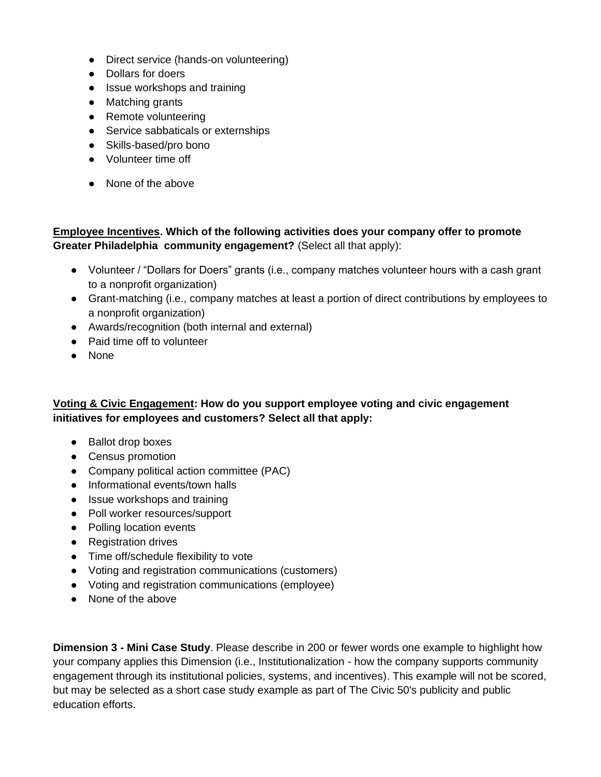- Direct service (hands-on volunteering)
- Dollars for doers
- Issue workshops and training
- Matching grants
- Remote volunteering
- Service sabbaticals or externships
- Skills-based/pro bono
- Volunteer time off
- None of the above

## **Employee Incentives. Which of the following activities does your company offer to promote Greater Philadelphia community engagement?** (Select all that apply):

- Volunteer / "Dollars for Doers" grants (i.e., company matches volunteer hours with a cash grant to a nonprofit organization)
- Grant-matching (i.e., company matches at least a portion of direct contributions by employees to a nonprofit organization)
- Awards/recognition (both internal and external)
- Paid time off to volunteer
- None

#### **Voting & Civic Engagement: How do you support employee voting and civic engagement initiatives for employees and customers? Select all that apply:**

- Ballot drop boxes
- Census promotion
- Company political action committee (PAC)
- Informational events/town halls
- Issue workshops and training
- Poll worker resources/support
- Polling location events
- Registration drives
- Time off/schedule flexibility to vote
- Voting and registration communications (customers)
- Voting and registration communications (employee)
- None of the above

**Dimension 3 - Mini Case Study**. Please describe in 200 or fewer words one example to highlight how your company applies this Dimension (i.e., Institutionalization - how the company supports community engagement through its institutional policies, systems, and incentives). This example will not be scored, but may be selected as a short case study example as part of The Civic 50's publicity and public education efforts.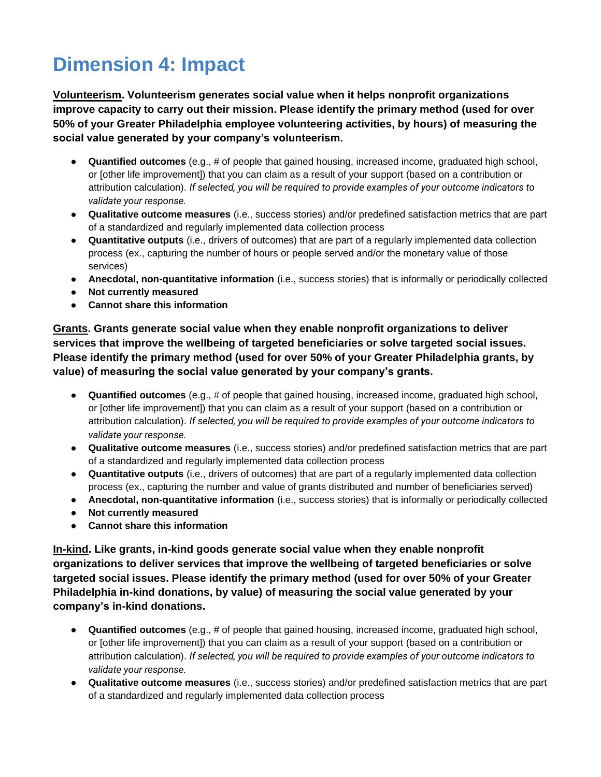## <span id="page-9-0"></span>**Dimension 4: Impact**

**Volunteerism. Volunteerism generates social value when it helps nonprofit organizations improve capacity to carry out their mission. Please identify the primary method (used for over 50% of your Greater Philadelphia employee volunteering activities, by hours) of measuring the social value generated by your company's volunteerism.**

- **Quantified outcomes** (e.g., # of people that gained housing, increased income, graduated high school, or [other life improvement]) that you can claim as a result of your support (based on a contribution or attribution calculation). *If selected, you will be required to provide examples of your outcome indicators to validate your response.*
- **Qualitative outcome measures** (i.e., success stories) and/or predefined satisfaction metrics that are part of a standardized and regularly implemented data collection process
- **Quantitative outputs** (i.e., drivers of outcomes) that are part of a regularly implemented data collection process (ex., capturing the number of hours or people served and/or the monetary value of those services)
- **Anecdotal, non-quantitative information** (i.e., success stories) that is informally or periodically collected
- **Not currently measured**
- **Cannot share this information**

**Grants. Grants generate social value when they enable nonprofit organizations to deliver services that improve the wellbeing of targeted beneficiaries or solve targeted social issues. Please identify the primary method (used for over 50% of your Greater Philadelphia grants, by value) of measuring the social value generated by your company's grants.**

- **Quantified outcomes** (e.g., # of people that gained housing, increased income, graduated high school, or [other life improvement]) that you can claim as a result of your support (based on a contribution or attribution calculation). *If selected, you will be required to provide examples of your outcome indicators to validate your response.*
- **Qualitative outcome measures** (i.e., success stories) and/or predefined satisfaction metrics that are part of a standardized and regularly implemented data collection process
- **Quantitative outputs** (i.e., drivers of outcomes) that are part of a regularly implemented data collection process (ex., capturing the number and value of grants distributed and number of beneficiaries served)
- **Anecdotal, non-quantitative information** (i.e., success stories) that is informally or periodically collected
- **Not currently measured**
- **Cannot share this information**

**In-kind. Like grants, in-kind goods generate social value when they enable nonprofit organizations to deliver services that improve the wellbeing of targeted beneficiaries or solve targeted social issues. Please identify the primary method (used for over 50% of your Greater Philadelphia in-kind donations, by value) of measuring the social value generated by your company's in-kind donations.**

- **Quantified outcomes** (e.g., # of people that gained housing, increased income, graduated high school, or [other life improvement]) that you can claim as a result of your support (based on a contribution or attribution calculation). *If selected, you will be required to provide examples of your outcome indicators to validate your response.*
- **Qualitative outcome measures** (i.e., success stories) and/or predefined satisfaction metrics that are part of a standardized and regularly implemented data collection process